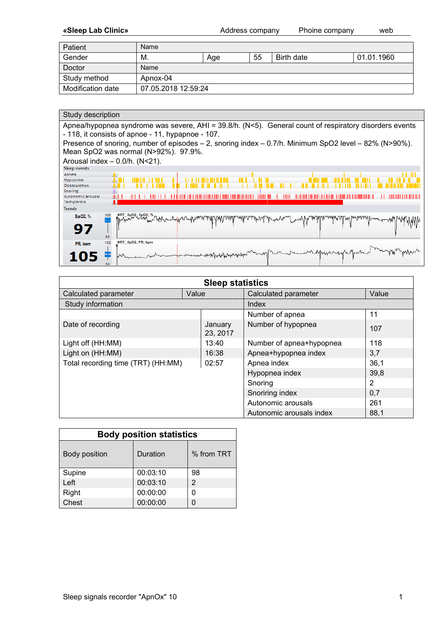**«Sleep Lab Clinic»** Address company Phoine company web

| Patient           | Name                |     |    |            |            |  |  |  |  |
|-------------------|---------------------|-----|----|------------|------------|--|--|--|--|
| Gender            | М.                  | Age | 55 | Birth date | 01.01.1960 |  |  |  |  |
| Doctor            | Name                |     |    |            |            |  |  |  |  |
| Study method      | Apnox-04            |     |    |            |            |  |  |  |  |
| Modification date | 07.05.2018 12:59:24 |     |    |            |            |  |  |  |  |

| Study description                                                                                                                                           |
|-------------------------------------------------------------------------------------------------------------------------------------------------------------|
| Apnea/hypopnea syndrome was severe, AHI = 39.8/h. (N<5). General count of respiratory disorders events<br>- 118, it consists of apnoe - 11, hypapnoe - 107. |
| Presence of snoring, number of episodes $-2$ , snoring index $-0.7/h$ . Minimum SpO2 level $-82\%$ (N>90%).                                                 |
| Mean SpO2 was normal (N>92%). 97.9%.                                                                                                                        |
| Arousal index $-$ 0.0/h. (N<21).                                                                                                                            |
| <b>Sleep events</b>                                                                                                                                         |
| Apnea                                                                                                                                                       |
| Hypopnea                                                                                                                                                    |
| <b>Desaturation</b>                                                                                                                                         |
| Snoring<br>Autonomic arousal                                                                                                                                |
| Tachycardia                                                                                                                                                 |
| <b>Trends</b>                                                                                                                                               |
| SpO2, %                                                                                                                                                     |
| 97<br>80                                                                                                                                                    |
| ΦΠΓ SpO2; PR; bpm<br>132<br>PR, bpm<br><b>Myhdwendryhe/grother</b>                                                                                          |
|                                                                                                                                                             |

| <b>Sleep statistics</b>            |       |                     |                          |       |  |  |  |
|------------------------------------|-------|---------------------|--------------------------|-------|--|--|--|
| Calculated parameter               | Value |                     | Calculated parameter     | Value |  |  |  |
| Study information                  |       |                     | Index                    |       |  |  |  |
|                                    |       |                     | Number of apnea          | 11    |  |  |  |
| Date of recording                  |       | January<br>23, 2017 | Number of hypopnea       | 107   |  |  |  |
| Light off (HH:MM)                  |       | 13:40               | Number of apnea+hypopnea | 118   |  |  |  |
| Light on (HH:MM)                   |       | 16:38               | Apnea+hypopnea index     | 3,7   |  |  |  |
| Total recording time (TRT) (HH:MM) |       | 02:57               | Apnea index              | 36,1  |  |  |  |
|                                    |       |                     | Hypopnea index           | 39,8  |  |  |  |
|                                    |       |                     | Snoring                  | 2     |  |  |  |
|                                    |       |                     | Snoriring index          | 0,7   |  |  |  |
|                                    |       |                     | Autonomic arousals       | 261   |  |  |  |
|                                    |       |                     | Autonomic arousals index | 88,1  |  |  |  |

| <b>Body position statistics</b>         |          |               |  |  |  |  |  |  |
|-----------------------------------------|----------|---------------|--|--|--|--|--|--|
| % from TRT<br>Duration<br>Body position |          |               |  |  |  |  |  |  |
| Supine                                  | 00:03:10 | 98            |  |  |  |  |  |  |
| Left                                    | 00:03:10 | $\mathcal{P}$ |  |  |  |  |  |  |
| Right                                   | 00:00:00 |               |  |  |  |  |  |  |
| Chest                                   | 00:00:00 |               |  |  |  |  |  |  |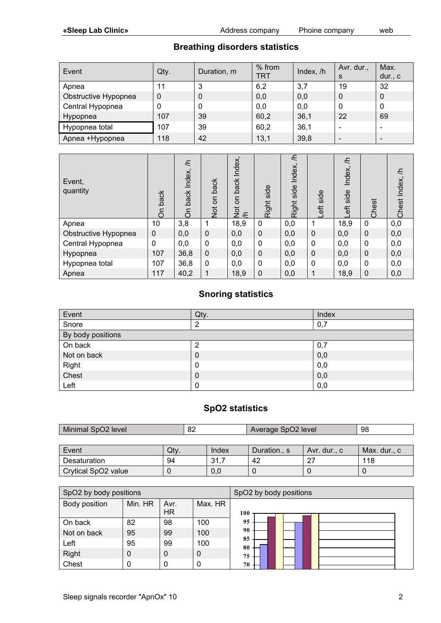# **Breathing disorders statistics**

| Event                | Qty. | Duration, m    | % from<br>TRT | Index, /h | Avr. dur.,<br>S | Max.<br>dur., $c$ |
|----------------------|------|----------------|---------------|-----------|-----------------|-------------------|
| Apnea                | 11   | 3              | 6,2           | 3,7       | 19              | 32                |
| Obstructive Hypopnea | 0    | $\overline{0}$ | 0,0           | 0,0       | 0               | $\mathbf 0$       |
| Central Hypopnea     | 0    | 0              | 0,0           | 0,0       | 0               | 0                 |
| Hypopnea             | 107  | 39             | 60,2          | 36,1      | 22              | 69                |
| Hypopnea total       | 107  | 39             | 60,2          | 36,1      |                 | -                 |
| Apnea +Hypopnea      | 118  | 42             | 13,1          | 39,8      |                 |                   |

| Event,<br>quantity   | back<br>$\delta$ | 드<br>Index,<br>back<br>δ | back<br>Not on | Index,<br>back<br>S<br>$rac{5}{2}$ | side<br>Right | H,<br>Index,<br>side<br>Right | side<br>$\overline{6}$ | F<br>Index,<br>side<br>$\overline{6}$ | Chest        | €<br>Index,<br>Chest |
|----------------------|------------------|--------------------------|----------------|------------------------------------|---------------|-------------------------------|------------------------|---------------------------------------|--------------|----------------------|
| Apnea                | 10               | 3,8                      |                | 18,9                               | 0             | 0,0                           |                        | 18,9                                  | $\mathbf{0}$ | 0,0                  |
| Obstructive Hypopnea | $\mathbf 0$      | 0,0                      | 0              | 0,0                                | $\mathbf 0$   | 0,0                           | 0                      | 0,0                                   | 0            | 0,0                  |
| Central Hypopnea     | $\mathbf{0}$     | 0,0                      | 0              | 0,0                                | $\mathbf 0$   | 0,0                           | 0                      | 0,0                                   | $\mathbf{0}$ | 0,0                  |
| Hypopnea             | 107              | 36,8                     | $\Omega$       | 0,0                                | $\mathbf 0$   | 0,0                           | $\Omega$               | 0,0                                   | $\Omega$     | 0,0                  |
| Hypopnea total       | 107              | 36,8                     | $\mathbf{0}$   | 0,0                                | $\mathbf 0$   | 0,0                           | $\mathbf 0$            | 0,0                                   | $\mathbf{0}$ | 0,0                  |
| Apnea                | 117              | 40,2                     |                | 18,9                               | $\mathbf 0$   | 0,0                           | 1                      | 18,9                                  | $\mathbf 0$  | 0,0                  |

## **Snoring statistics**

| Event             | Qty.        | Index |
|-------------------|-------------|-------|
| Snore             | ◠           | 0,7   |
| By body positions |             |       |
| On back           | ◠           | 0,7   |
| Not on back       | $\mathbf 0$ | 0,0   |
| Right             | 0           | 0,0   |
| Chest             | 0           | 0,0   |
| Left              | 0           | 0,0   |

### **SpO2 statistics**

| Minimal SpO2 level  |      | 82 |       | Average SpO2 level | -98          |              |
|---------------------|------|----|-------|--------------------|--------------|--------------|
|                     |      |    |       |                    |              |              |
| Event               | Qtv. |    | Index | Duration., s       | Avr. dur., c | Max. dur., c |
| Desaturation        | 94   |    | 31.7  | 42                 | 27           | 118          |
| Crytical SpO2 value |      |    | 0,0   |                    |              |              |

| SpO2 by body positions |         |             |         | SpO2 by body positions |
|------------------------|---------|-------------|---------|------------------------|
| Body position          | Min. HR | Avr.<br>HR. | Max. HR | 100                    |
| On back                | 82      | 98          | 100     | 95                     |
| Not on back            | 95      | 99          | 100     | 90                     |
| Left                   | 95      | 99          | 100     | 85<br>80               |
| Right                  | 0       | $\mathbf 0$ | 0       | 75                     |
| Chest                  |         | 0           | 0       | 70                     |